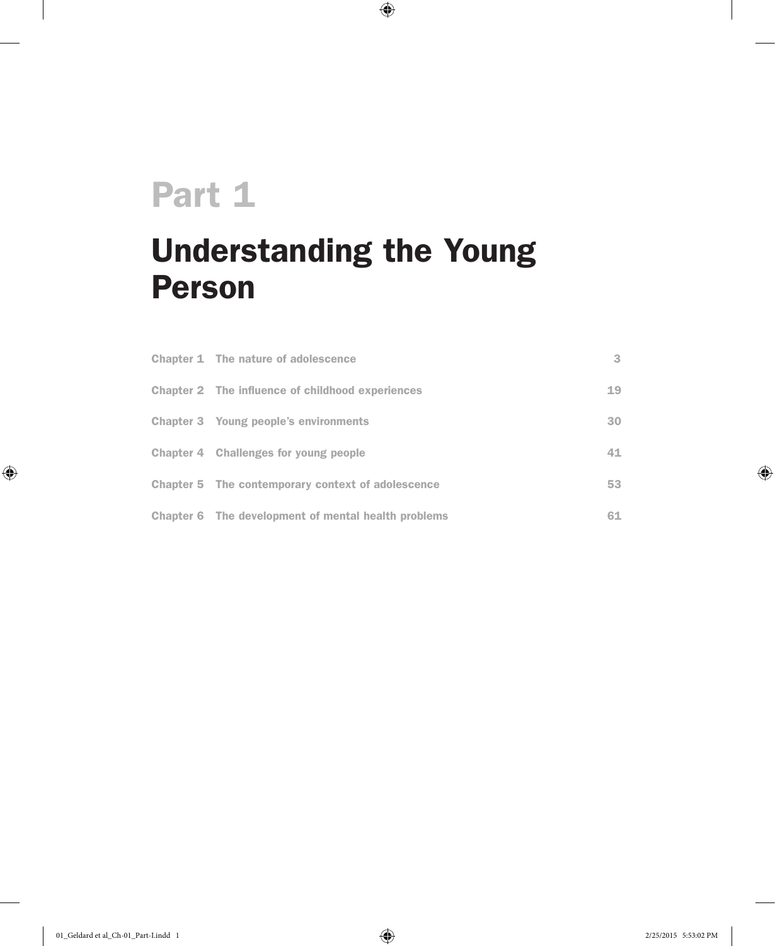## Part 1

## Understanding the Young Person

| <b>Chapter 1 The nature of adolescence</b>          | 3  |
|-----------------------------------------------------|----|
| Chapter 2 The influence of childhood experiences    | 19 |
| <b>Chapter 3</b> Young people's environments        | 30 |
| Chapter 4 Challenges for young people               | 41 |
| Chapter 5 The contemporary context of adolescence   | 53 |
| Chapter 6 The development of mental health problems | 61 |

 $\bigoplus$ 

 $\bigoplus$ 

 $\bigoplus$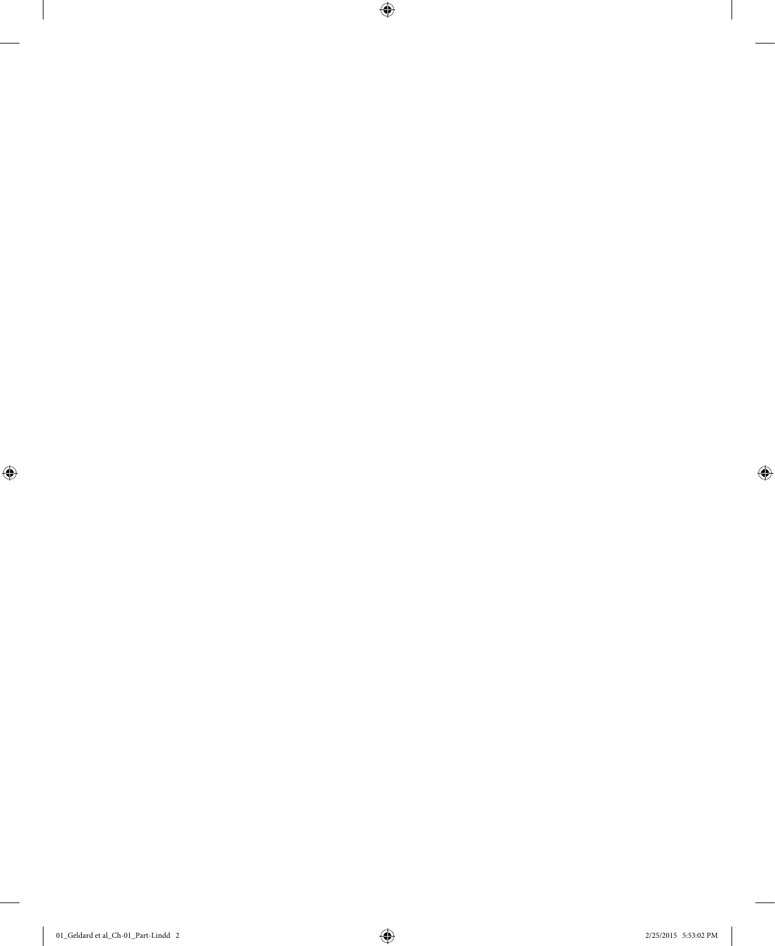

 $\overline{\phantom{a}}$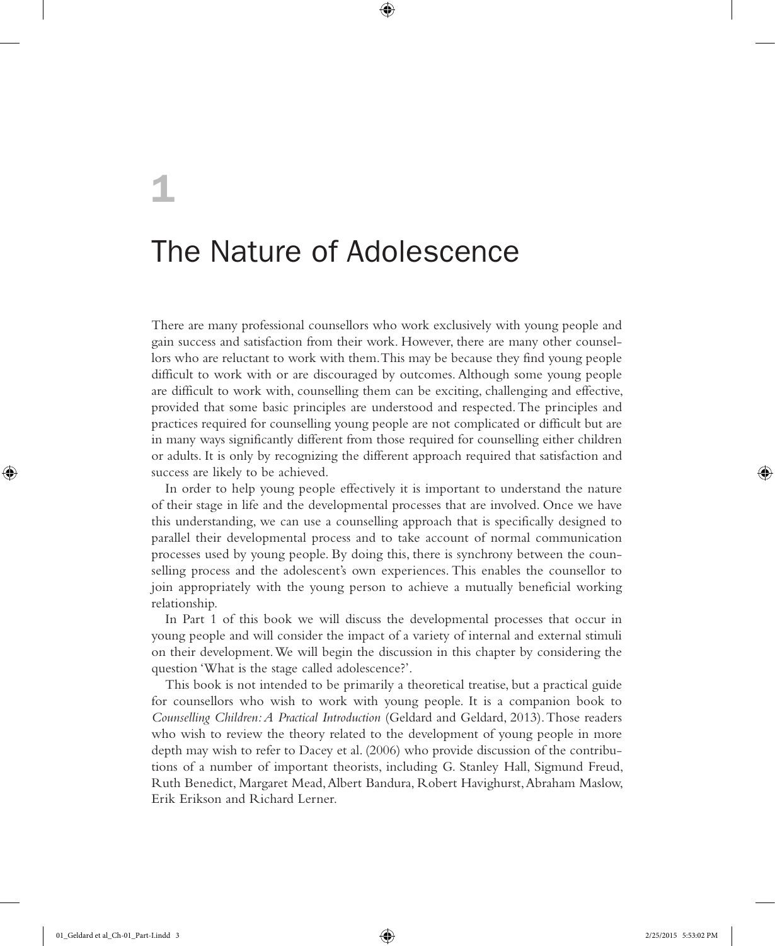## The Nature of Adolescence

1

There are many professional counsellors who work exclusively with young people and gain success and satisfaction from their work. However, there are many other counsellors who are reluctant to work with them. This may be because they find young people difficult to work with or are discouraged by outcomes. Although some young people are difficult to work with, counselling them can be exciting, challenging and effective, provided that some basic principles are understood and respected. The principles and practices required for counselling young people are not complicated or difficult but are in many ways significantly different from those required for counselling either children or adults. It is only by recognizing the different approach required that satisfaction and success are likely to be achieved.

⊕

In order to help young people effectively it is important to understand the nature of their stage in life and the developmental processes that are involved. Once we have this understanding, we can use a counselling approach that is specifically designed to parallel their developmental process and to take account of normal communication processes used by young people. By doing this, there is synchrony between the counselling process and the adolescent's own experiences. This enables the counsellor to join appropriately with the young person to achieve a mutually beneficial working relationship.

In Part 1 of this book we will discuss the developmental processes that occur in young people and will consider the impact of a variety of internal and external stimuli on their development. We will begin the discussion in this chapter by considering the question 'What is the stage called adolescence?'.

This book is not intended to be primarily a theoretical treatise, but a practical guide for counsellors who wish to work with young people. It is a companion book to *Counselling Children: A Practical Introduction* (Geldard and Geldard, 2013). Those readers who wish to review the theory related to the development of young people in more depth may wish to refer to Dacey et al. (2006) who provide discussion of the contributions of a number of important theorists, including G. Stanley Hall, Sigmund Freud, Ruth Benedict, Margaret Mead, Albert Bandura, Robert Havighurst, Abraham Maslow, Erik Erikson and Richard Lerner.

⊕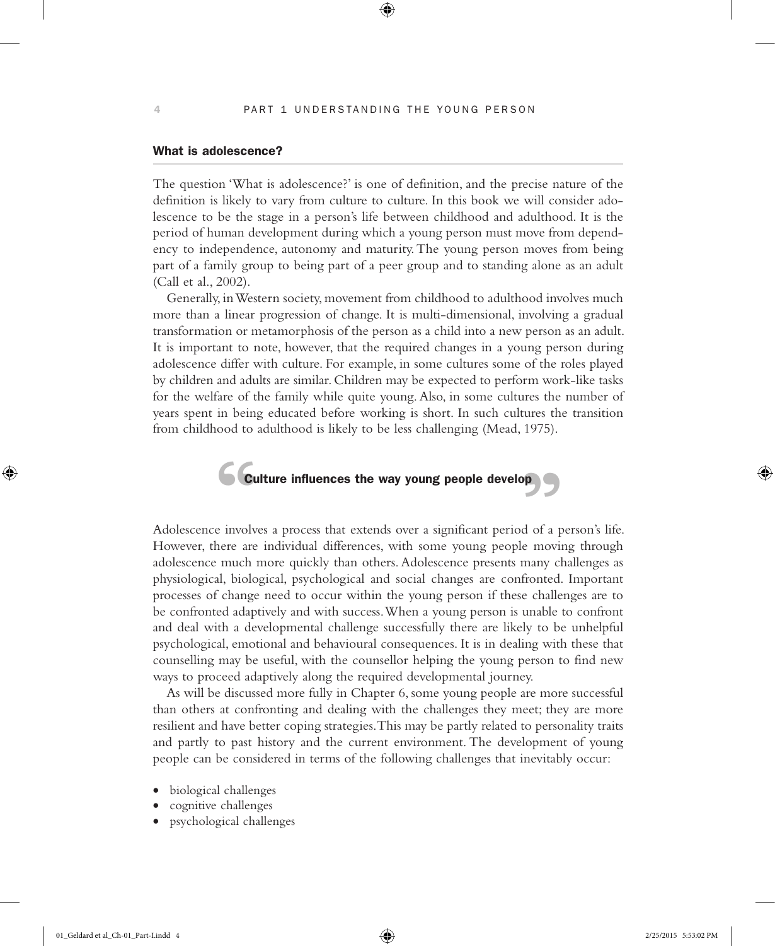⊕

#### What is adolescence?

The question 'What is adolescence?' is one of definition, and the precise nature of the definition is likely to vary from culture to culture. In this book we will consider adolescence to be the stage in a person's life between childhood and adulthood. It is the period of human development during which a young person must move from dependency to independence, autonomy and maturity. The young person moves from being part of a family group to being part of a peer group and to standing alone as an adult (Call et al., 2002).

Generally, in Western society, movement from childhood to adulthood involves much more than a linear progression of change. It is multi-dimensional, involving a gradual transformation or metamorphosis of the person as a child into a new person as an adult. It is important to note, however, that the required changes in a young person during adolescence differ with culture. For example, in some cultures some of the roles played by children and adults are similar. Children may be expected to perform work-like tasks for the welfare of the family while quite young. Also, in some cultures the number of years spent in being educated before working is short. In such cultures the transition from childhood to adulthood is likely to be less challenging (Mead, 1975).

#### Culture influences the way young people develop

**Culture influences the way young people develop<br>
the involves a process that extends over a significant period of a p<br>
there are individual differences with some young people moving** Adolescence involves a process that extends over a significant period of a person's life. However, there are individual differences, with some young people moving through adolescence much more quickly than others. Adolescence presents many challenges as physiological, biological, psychological and social changes are confronted. Important processes of change need to occur within the young person if these challenges are to be confronted adaptively and with success. When a young person is unable to confront and deal with a developmental challenge successfully there are likely to be unhelpful psychological, emotional and behavioural consequences. It is in dealing with these that counselling may be useful, with the counsellor helping the young person to find new ways to proceed adaptively along the required developmental journey.

As will be discussed more fully in Chapter 6, some young people are more successful than others at confronting and dealing with the challenges they meet; they are more resilient and have better coping strategies. This may be partly related to personality traits and partly to past history and the current environment. The development of young people can be considered in terms of the following challenges that inevitably occur:

- biological challenges
- cognitive challenges
- psychological challenges

♠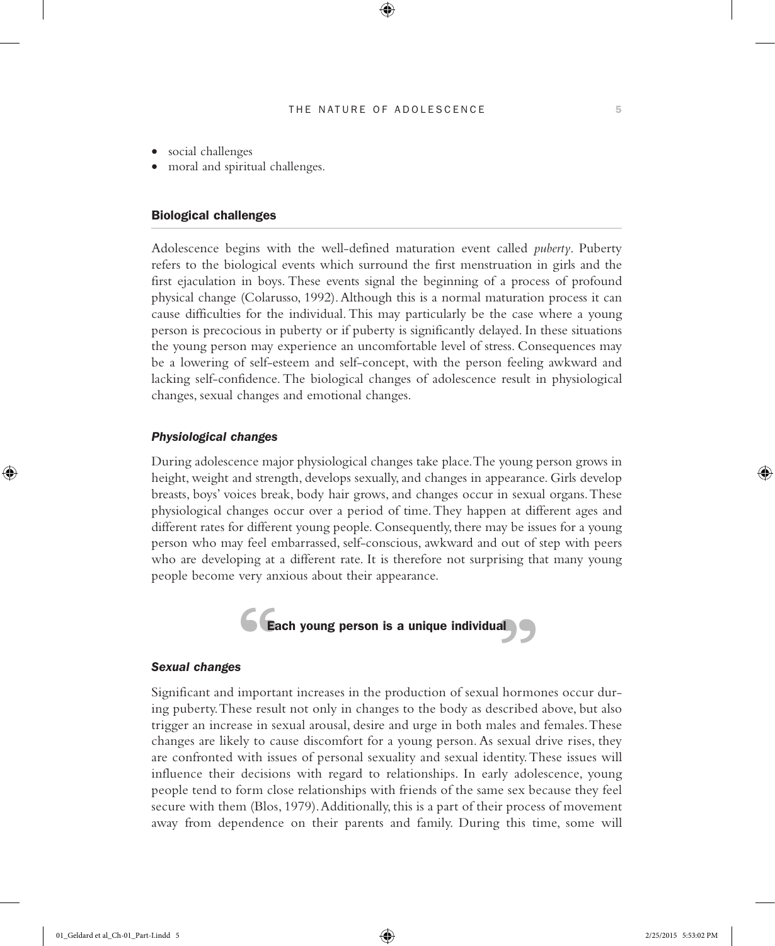⊕

- social challenges
- moral and spiritual challenges.

#### Biological challenges

Adolescence begins with the well-defined maturation event called *puberty*. Puberty refers to the biological events which surround the first menstruation in girls and the first ejaculation in boys. These events signal the beginning of a process of profound physical change (Colarusso, 1992). Although this is a normal maturation process it can cause difficulties for the individual. This may particularly be the case where a young person is precocious in puberty or if puberty is significantly delayed. In these situations the young person may experience an uncomfortable level of stress. Consequences may be a lowering of self-esteem and self-concept, with the person feeling awkward and lacking self-confidence. The biological changes of adolescence result in physiological changes, sexual changes and emotional changes.

#### *Physiological changes*

During adolescence major physiological changes take place. The young person grows in height, weight and strength, develops sexually, and changes in appearance. Girls develop breasts, boys' voices break, body hair grows, and changes occur in sexual organs. These physiological changes occur over a period of time. They happen at different ages and different rates for different young people. Consequently, there may be issues for a young person who may feel embarrassed, self-conscious, awkward and out of step with peers who are developing at a different rate. It is therefore not surprising that many young people become very anxious about their appearance.



#### *Sexual changes*

Significant and important increases in the production of sexual hormones occur during puberty. These result not only in changes to the body as described above, but also trigger an increase in sexual arousal, desire and urge in both males and females. These changes are likely to cause discomfort for a young person. As sexual drive rises, they are confronted with issues of personal sexuality and sexual identity. These issues will influence their decisions with regard to relationships. In early adolescence, young people tend to form close relationships with friends of the same sex because they feel secure with them (Blos, 1979). Additionally, this is a part of their process of movement away from dependence on their parents and family. During this time, some will

♠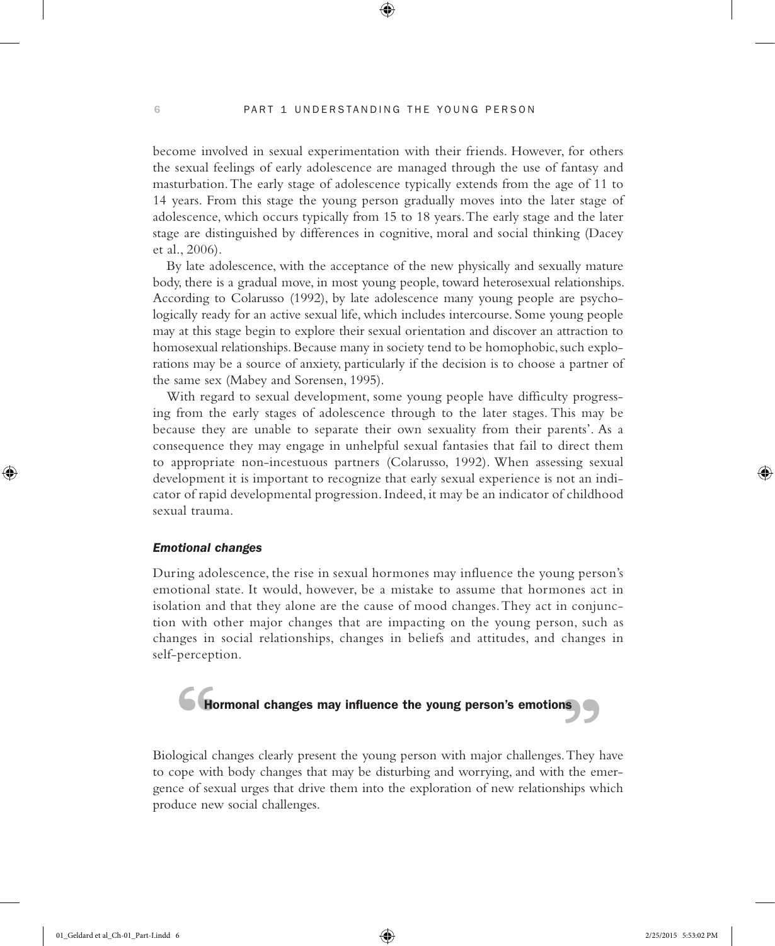become involved in sexual experimentation with their friends. However, for others the sexual feelings of early adolescence are managed through the use of fantasy and masturbation. The early stage of adolescence typically extends from the age of 11 to 14 years. From this stage the young person gradually moves into the later stage of adolescence, which occurs typically from 15 to 18 years. The early stage and the later stage are distinguished by differences in cognitive, moral and social thinking (Dacey et al., 2006).

By late adolescence, with the acceptance of the new physically and sexually mature body, there is a gradual move, in most young people, toward heterosexual relationships. According to Colarusso (1992), by late adolescence many young people are psychologically ready for an active sexual life, which includes intercourse. Some young people may at this stage begin to explore their sexual orientation and discover an attraction to homosexual relationships. Because many in society tend to be homophobic, such explorations may be a source of anxiety, particularly if the decision is to choose a partner of the same sex (Mabey and Sorensen, 1995).

With regard to sexual development, some young people have difficulty progressing from the early stages of adolescence through to the later stages. This may be because they are unable to separate their own sexuality from their parents'. As a consequence they may engage in unhelpful sexual fantasies that fail to direct them to appropriate non-incestuous partners (Colarusso, 1992). When assessing sexual development it is important to recognize that early sexual experience is not an indicator of rapid developmental progression. Indeed, it may be an indicator of childhood sexual trauma.

#### *Emotional changes*

During adolescence, the rise in sexual hormones may influence the young person's emotional state. It would, however, be a mistake to assume that hormones act in isolation and that they alone are the cause of mood changes. They act in conjunction with other major changes that are impacting on the young person, such as changes in social relationships, changes in beliefs and attitudes, and changes in self-perception.

# **Thermonal changes may influence the young person's emotions<br>logical changes clearly present the young person with major challenges. They have with body changes that may be disturbing and worrying, and with the em** Hormonal changes may influence the young person's emotions

Biological changes clearly present the young person with major challenges. They have to cope with body changes that may be disturbing and worrying, and with the emergence of sexual urges that drive them into the exploration of new relationships which produce new social challenges.

01\_Geldard et al\_Ch-01\_Part-I.indd 6 2/25/2015 5:53:02 PM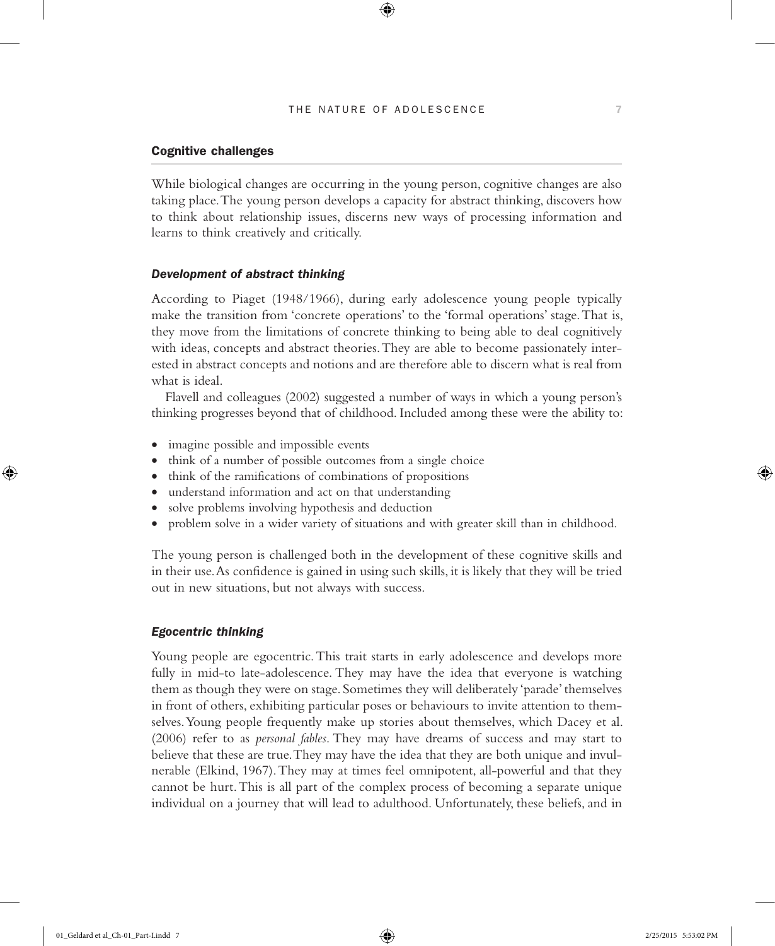#### Cognitive challenges

While biological changes are occurring in the young person, cognitive changes are also taking place. The young person develops a capacity for abstract thinking, discovers how to think about relationship issues, discerns new ways of processing information and learns to think creatively and critically.

#### *Development of abstract thinking*

According to Piaget (1948/1966), during early adolescence young people typically make the transition from 'concrete operations' to the 'formal operations' stage. That is, they move from the limitations of concrete thinking to being able to deal cognitively with ideas, concepts and abstract theories. They are able to become passionately interested in abstract concepts and notions and are therefore able to discern what is real from what is ideal.

Flavell and colleagues (2002) suggested a number of ways in which a young person's thinking progresses beyond that of childhood. Included among these were the ability to:

- imagine possible and impossible events
- think of a number of possible outcomes from a single choice
- think of the ramifications of combinations of propositions
- understand information and act on that understanding
- solve problems involving hypothesis and deduction
- problem solve in a wider variety of situations and with greater skill than in childhood.

The young person is challenged both in the development of these cognitive skills and in their use. As confidence is gained in using such skills, it is likely that they will be tried out in new situations, but not always with success.

#### *Egocentric thinking*

Young people are egocentric. This trait starts in early adolescence and develops more fully in mid-to late-adolescence. They may have the idea that everyone is watching them as though they were on stage. Sometimes they will deliberately 'parade' themselves in front of others, exhibiting particular poses or behaviours to invite attention to themselves. Young people frequently make up stories about themselves, which Dacey et al. (2006) refer to as *personal fables*. They may have dreams of success and may start to believe that these are true. They may have the idea that they are both unique and invulnerable (Elkind, 1967). They may at times feel omnipotent, all-powerful and that they cannot be hurt. This is all part of the complex process of becoming a separate unique individual on a journey that will lead to adulthood. Unfortunately, these beliefs, and in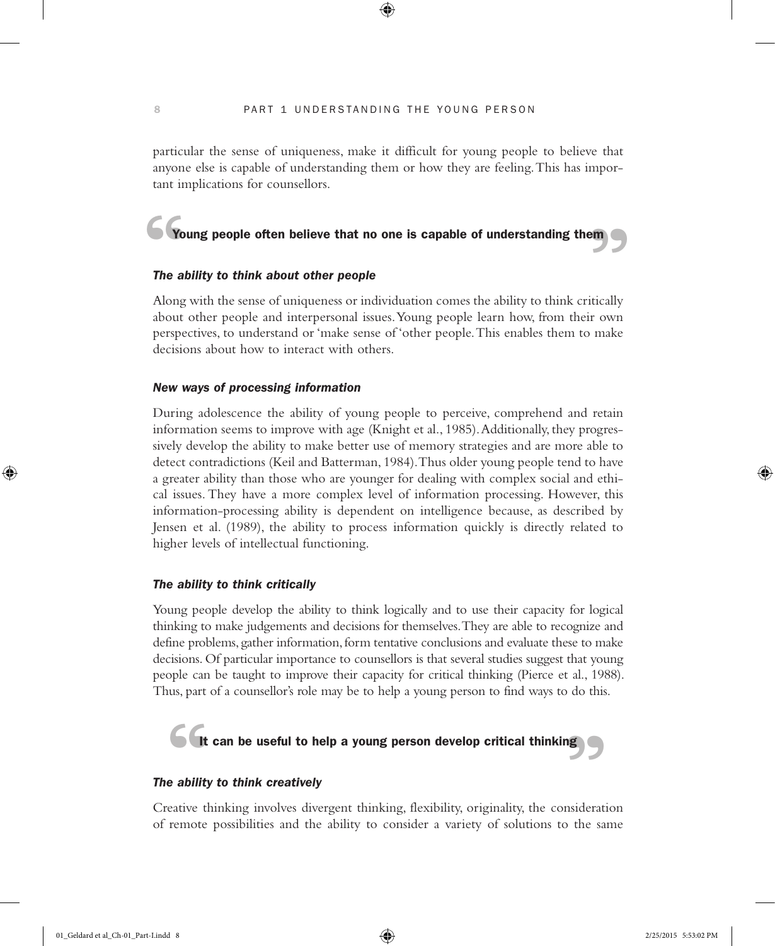particular the sense of uniqueness, make it difficult for young people to believe that anyone else is capable of understanding them or how they are feeling. This has important implications for counsellors.

⊕

**''** *The ability to think about other people* **The ability to think about other people**<br>
Along with the sense of uniqueness or individuation comes the ability to think critically<br>
Along with the sense of uniqueness or individuation comes the ability to think criticall Young people often believe that no one is capable of understanding them

about other people and interpersonal issues. Young people learn how, from their own perspectives, to understand or 'make sense of 'other people. This enables them to make decisions about how to interact with others.

#### *New ways of processing information*

During adolescence the ability of young people to perceive, comprehend and retain information seems to improve with age (Knight et al., 1985). Additionally, they progressively develop the ability to make better use of memory strategies and are more able to detect contradictions (Keil and Batterman, 1984). Thus older young people tend to have a greater ability than those who are younger for dealing with complex social and ethical issues. They have a more complex level of information processing. However, this information-processing ability is dependent on intelligence because, as described by Jensen et al. (1989), the ability to process information quickly is directly related to higher levels of intellectual functioning.

#### *The ability to think critically*

Young people develop the ability to think logically and to use their capacity for logical thinking to make judgements and decisions for themselves. They are able to recognize and define problems, gather information, form tentative conclusions and evaluate these to make decisions. Of particular importance to counsellors is that several studies suggest that young people can be taught to improve their capacity for critical thinking (Pierce et al., 1988). Thus, part of a counsellor's role may be to help a young person to find ways to do this.

## **'' Creative think in the useful to help a young person develop critical thinking**<br> **The ability to think creatively**<br>
Creative thinking involves divergent thinking, flexibility, originality, the consideration It can be useful to help a young person develop critical thinking

#### *The ability to think creatively*

of remote possibilities and the ability to consider a variety of solutions to the same

♠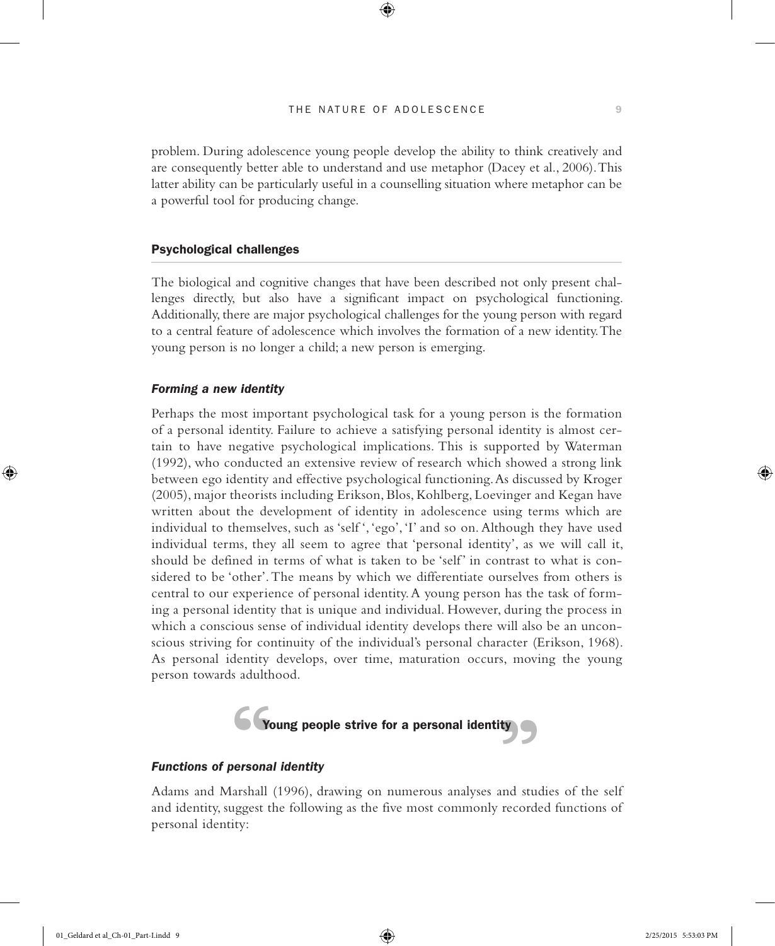problem. During adolescence young people develop the ability to think creatively and are consequently better able to understand and use metaphor (Dacey et al., 2006). This latter ability can be particularly useful in a counselling situation where metaphor can be a powerful tool for producing change.

#### Psychological challenges

The biological and cognitive changes that have been described not only present challenges directly, but also have a significant impact on psychological functioning. Additionally, there are major psychological challenges for the young person with regard to a central feature of adolescence which involves the formation of a new identity. The young person is no longer a child; a new person is emerging.

#### *Forming a new identity*

Perhaps the most important psychological task for a young person is the formation of a personal identity. Failure to achieve a satisfying personal identity is almost certain to have negative psychological implications. This is supported by Waterman (1992), who conducted an extensive review of research which showed a strong link between ego identity and effective psychological functioning. As discussed by Kroger (2005), major theorists including Erikson, Blos, Kohlberg, Loevinger and Kegan have written about the development of identity in adolescence using terms which are individual to themselves, such as 'self ', 'ego', 'I' and so on. Although they have used individual terms, they all seem to agree that 'personal identity', as we will call it, should be defined in terms of what is taken to be 'self ' in contrast to what is considered to be 'other'. The means by which we differentiate ourselves from others is central to our experience of personal identity. A young person has the task of forming a personal identity that is unique and individual. However, during the process in which a conscious sense of individual identity develops there will also be an unconscious striving for continuity of the individual's personal character (Erikson, 1968). As personal identity develops, over time, maturation occurs, moving the young person towards adulthood.



#### *Functions of personal identity*

Adams and Marshall (1996), drawing on numerous analyses and studies of the self and identity, suggest the following as the five most commonly recorded functions of personal identity:

♠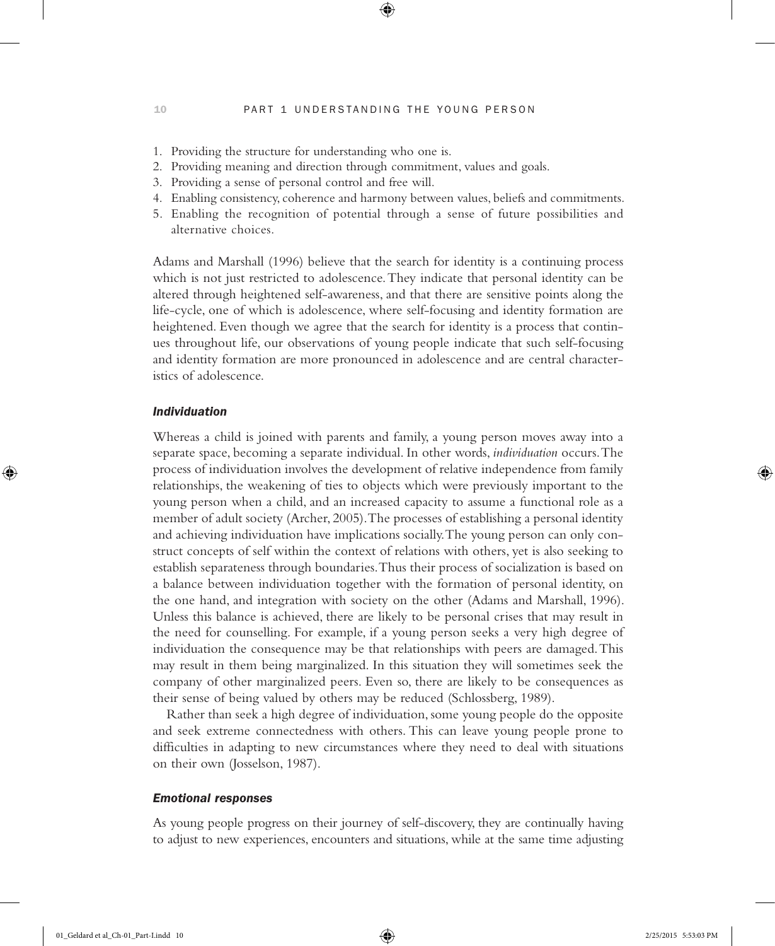- 1. Providing the structure for understanding who one is.
- 2. Providing meaning and direction through commitment, values and goals.
- 3. Providing a sense of personal control and free will.
- 4. Enabling consistency, coherence and harmony between values, beliefs and commitments.

⊕

5. Enabling the recognition of potential through a sense of future possibilities and alternative choices.

Adams and Marshall (1996) believe that the search for identity is a continuing process which is not just restricted to adolescence. They indicate that personal identity can be altered through heightened self-awareness, and that there are sensitive points along the life-cycle, one of which is adolescence, where self-focusing and identity formation are heightened. Even though we agree that the search for identity is a process that continues throughout life, our observations of young people indicate that such self-focusing and identity formation are more pronounced in adolescence and are central characteristics of adolescence.

#### *Individuation*

♠

Whereas a child is joined with parents and family, a young person moves away into a separate space, becoming a separate individual. In other words, *individuation* occurs. The process of individuation involves the development of relative independence from family relationships, the weakening of ties to objects which were previously important to the young person when a child, and an increased capacity to assume a functional role as a member of adult society (Archer, 2005). The processes of establishing a personal identity and achieving individuation have implications socially. The young person can only construct concepts of self within the context of relations with others, yet is also seeking to establish separateness through boundaries. Thus their process of socialization is based on a balance between individuation together with the formation of personal identity, on the one hand, and integration with society on the other (Adams and Marshall, 1996). Unless this balance is achieved, there are likely to be personal crises that may result in the need for counselling. For example, if a young person seeks a very high degree of individuation the consequence may be that relationships with peers are damaged. This may result in them being marginalized. In this situation they will sometimes seek the company of other marginalized peers. Even so, there are likely to be consequences as their sense of being valued by others may be reduced (Schlossberg, 1989).

Rather than seek a high degree of individuation, some young people do the opposite and seek extreme connectedness with others. This can leave young people prone to difficulties in adapting to new circumstances where they need to deal with situations on their own (Josselson, 1987).

#### *Emotional responses*

As young people progress on their journey of self-discovery, they are continually having to adjust to new experiences, encounters and situations, while at the same time adjusting

01\_Geldard et al\_Ch-01\_Part-I.indd 10 2/25/2015 5:53:03 PM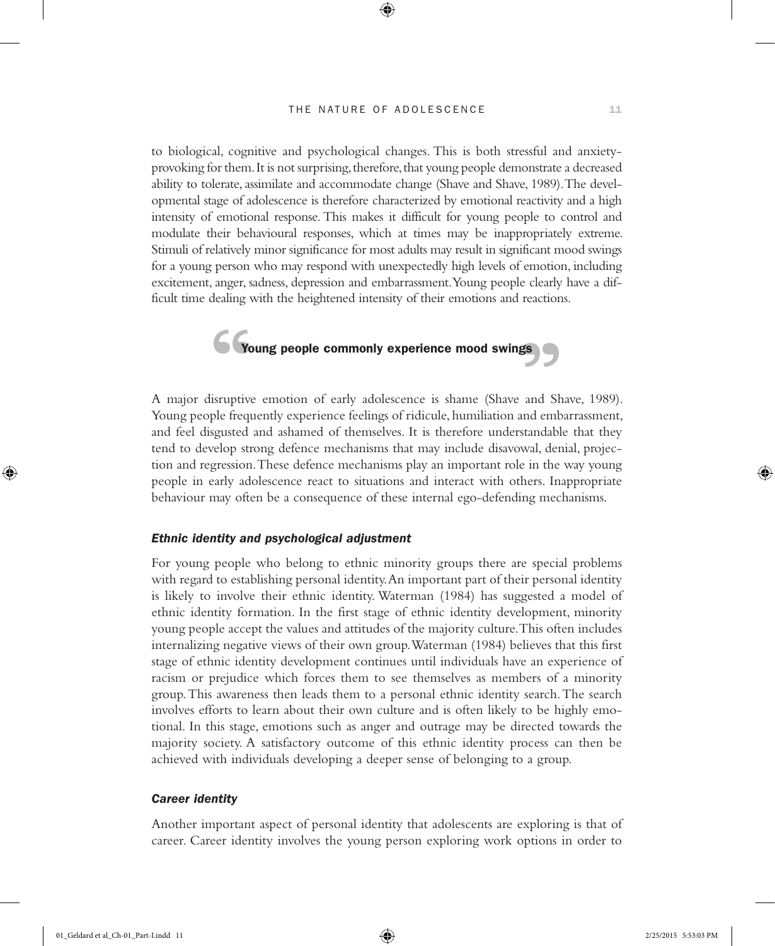⊕

to biological, cognitive and psychological changes. This is both stressful and anxietyprovoking for them. It is not surprising, therefore, that young people demonstrate a decreased ability to tolerate, assimilate and accommodate change (Shave and Shave, 1989). The developmental stage of adolescence is therefore characterized by emotional reactivity and a high intensity of emotional response. This makes it difficult for young people to control and modulate their behavioural responses, which at times may be inappropriately extreme. Stimuli of relatively minor significance for most adults may result in significant mood swings for a young person who may respond with unexpectedly high levels of emotion, including excitement, anger, sadness, depression and embarrassment. Young people clearly have a difficult time dealing with the heightened intensity of their emotions and reactions.



A major disruptive emotion of early adolescence is shame (Shave and Shave, 1989). Young people frequently experience feelings of ridicule, humiliation and embarrassment, and feel disgusted and ashamed of themselves. It is therefore understandable that they tend to develop strong defence mechanisms that may include disavowal, denial, projection and regression. These defence mechanisms play an important role in the way young people in early adolescence react to situations and interact with others. Inappropriate behaviour may often be a consequence of these internal ego-defending mechanisms.

#### *Ethnic identity and psychological adjustment*

For young people who belong to ethnic minority groups there are special problems with regard to establishing personal identity. An important part of their personal identity is likely to involve their ethnic identity. Waterman (1984) has suggested a model of ethnic identity formation. In the first stage of ethnic identity development, minority young people accept the values and attitudes of the majority culture. This often includes internalizing negative views of their own group. Waterman (1984) believes that this first stage of ethnic identity development continues until individuals have an experience of racism or prejudice which forces them to see themselves as members of a minority group. This awareness then leads them to a personal ethnic identity search. The search involves efforts to learn about their own culture and is often likely to be highly emotional. In this stage, emotions such as anger and outrage may be directed towards the majority society. A satisfactory outcome of this ethnic identity process can then be achieved with individuals developing a deeper sense of belonging to a group.

#### *Career identity*

Another important aspect of personal identity that adolescents are exploring is that of career. Career identity involves the young person exploring work options in order to

01\_Geldard et al\_Ch-01\_Part-I.indd 11 2/25/2015 5:53:03 PM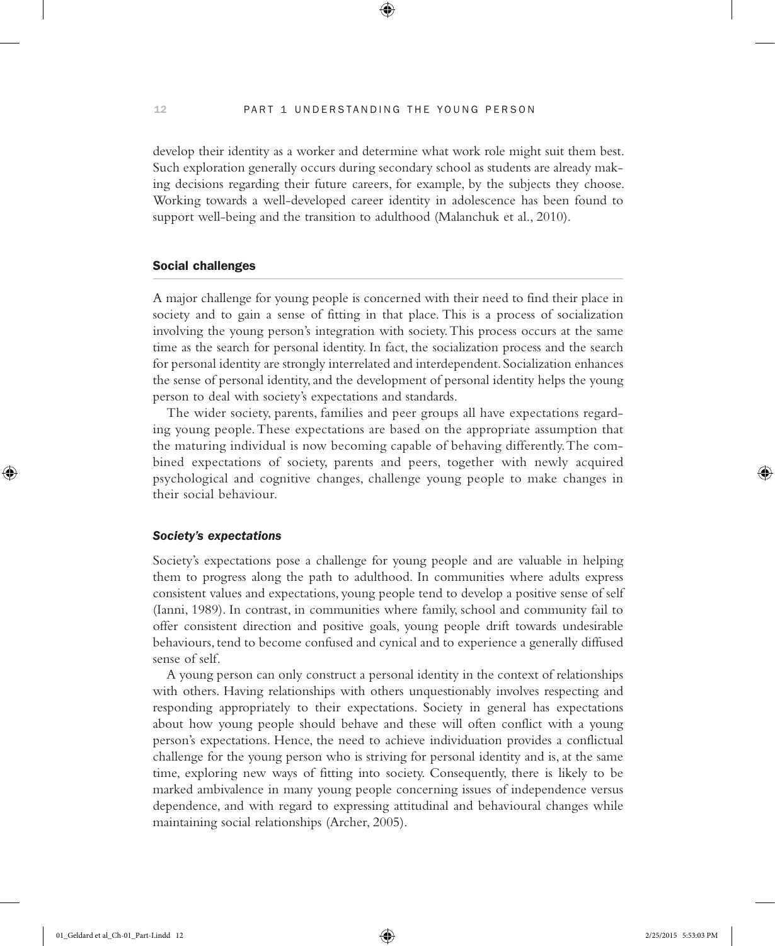⊕

develop their identity as a worker and determine what work role might suit them best. Such exploration generally occurs during secondary school as students are already making decisions regarding their future careers, for example, by the subjects they choose. Working towards a well-developed career identity in adolescence has been found to support well-being and the transition to adulthood (Malanchuk et al., 2010).

#### Social challenges

A major challenge for young people is concerned with their need to find their place in society and to gain a sense of fitting in that place. This is a process of socialization involving the young person's integration with society. This process occurs at the same time as the search for personal identity. In fact, the socialization process and the search for personal identity are strongly interrelated and interdependent. Socialization enhances the sense of personal identity, and the development of personal identity helps the young person to deal with society's expectations and standards.

The wider society, parents, families and peer groups all have expectations regarding young people. These expectations are based on the appropriate assumption that the maturing individual is now becoming capable of behaving differently. The combined expectations of society, parents and peers, together with newly acquired psychological and cognitive changes, challenge young people to make changes in their social behaviour.

#### *Society's expectations*

Society's expectations pose a challenge for young people and are valuable in helping them to progress along the path to adulthood. In communities where adults express consistent values and expectations, young people tend to develop a positive sense of self (Ianni, 1989). In contrast, in communities where family, school and community fail to offer consistent direction and positive goals, young people drift towards undesirable behaviours, tend to become confused and cynical and to experience a generally diffused sense of self.

A young person can only construct a personal identity in the context of relationships with others. Having relationships with others unquestionably involves respecting and responding appropriately to their expectations. Society in general has expectations about how young people should behave and these will often conflict with a young person's expectations. Hence, the need to achieve individuation provides a conflictual challenge for the young person who is striving for personal identity and is, at the same time, exploring new ways of fitting into society. Consequently, there is likely to be marked ambivalence in many young people concerning issues of independence versus dependence, and with regard to expressing attitudinal and behavioural changes while maintaining social relationships (Archer, 2005).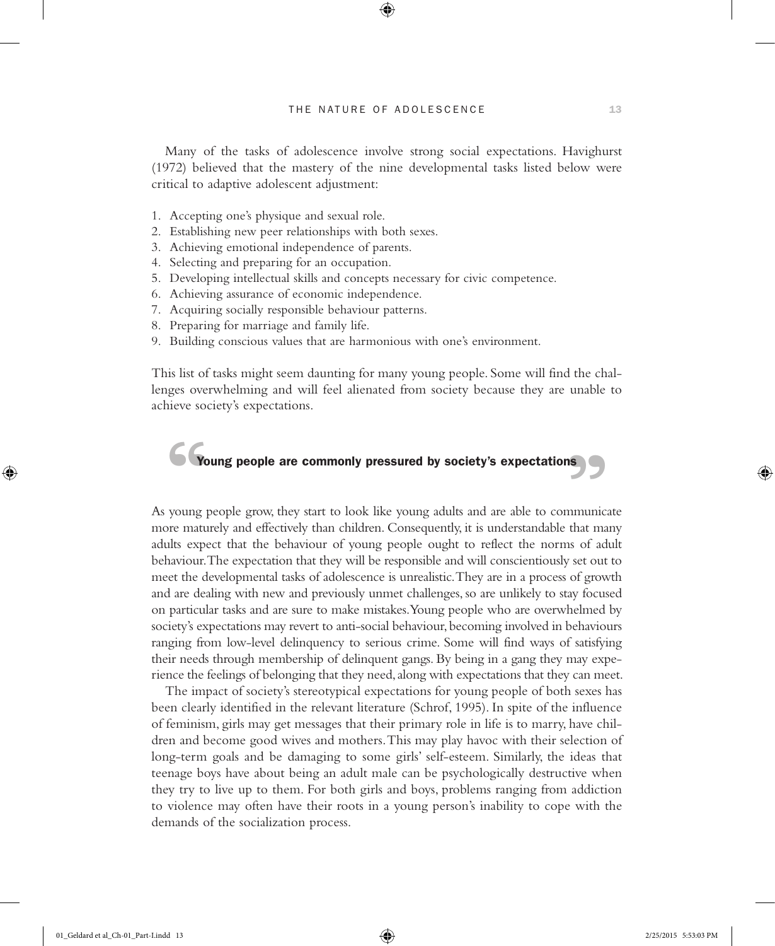⊕

Many of the tasks of adolescence involve strong social expectations. Havighurst (1972) believed that the mastery of the nine developmental tasks listed below were critical to adaptive adolescent adjustment:

- 1. Accepting one's physique and sexual role.
- 2. Establishing new peer relationships with both sexes.
- 3. Achieving emotional independence of parents.
- 4. Selecting and preparing for an occupation.
- 5. Developing intellectual skills and concepts necessary for civic competence.
- 6. Achieving assurance of economic independence.
- 7. Acquiring socially responsible behaviour patterns.
- 8. Preparing for marriage and family life.
- 9. Building conscious values that are harmonious with one's environment.

This list of tasks might seem daunting for many young people. Some will find the challenges overwhelming and will feel alienated from society because they are unable to achieve society's expectations.

#### Young people are commonly pressured by society's expectations

**Toung people are commonly pressured by society's expectations<br>
. young people grow, they start to look like young adults and are able to communications<br>
ore maturely and effectively than children Consequently it is unders** As young people grow, they start to look like young adults and are able to communicate more maturely and effectively than children. Consequently, it is understandable that many adults expect that the behaviour of young people ought to reflect the norms of adult behaviour. The expectation that they will be responsible and will conscientiously set out to meet the developmental tasks of adolescence is unrealistic. They are in a process of growth and are dealing with new and previously unmet challenges, so are unlikely to stay focused on particular tasks and are sure to make mistakes. Young people who are overwhelmed by society's expectations may revert to anti-social behaviour, becoming involved in behaviours ranging from low-level delinquency to serious crime. Some will find ways of satisfying their needs through membership of delinquent gangs. By being in a gang they may experience the feelings of belonging that they need, along with expectations that they can meet.

The impact of society's stereotypical expectations for young people of both sexes has been clearly identified in the relevant literature (Schrof, 1995). In spite of the influence of feminism, girls may get messages that their primary role in life is to marry, have children and become good wives and mothers. This may play havoc with their selection of long-term goals and be damaging to some girls' self-esteem. Similarly, the ideas that teenage boys have about being an adult male can be psychologically destructive when they try to live up to them. For both girls and boys, problems ranging from addiction to violence may often have their roots in a young person's inability to cope with the demands of the socialization process.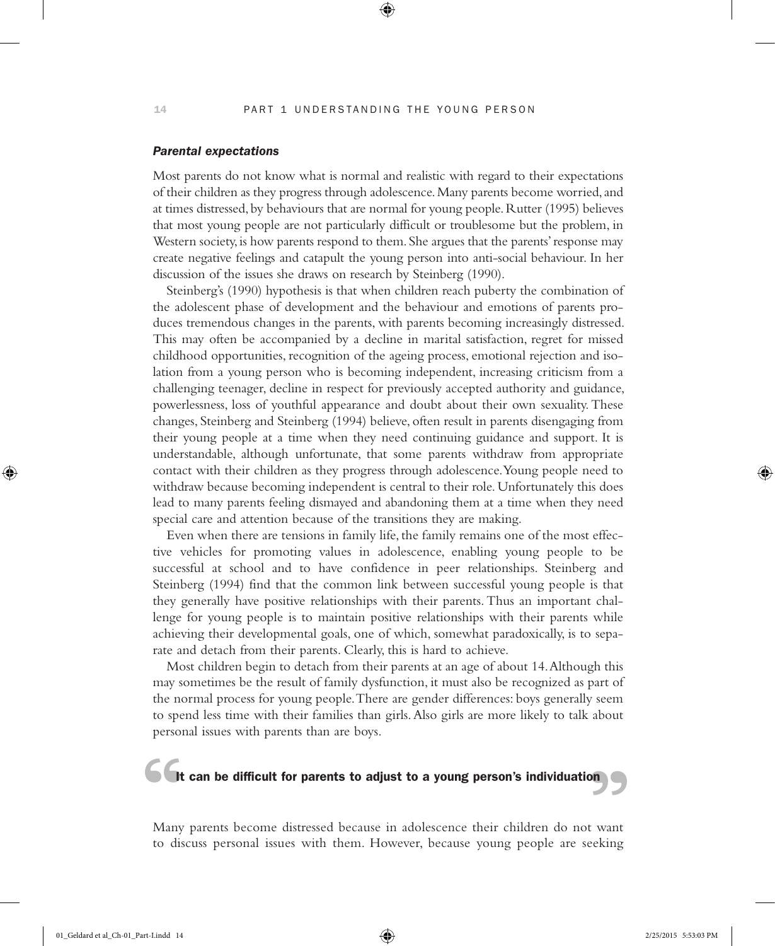⊕

#### *Parental expectations*

Most parents do not know what is normal and realistic with regard to their expectations of their children as they progress through adolescence. Many parents become worried, and at times distressed, by behaviours that are normal for young people. Rutter (1995) believes that most young people are not particularly difficult or troublesome but the problem, in Western society, is how parents respond to them. She argues that the parents' response may create negative feelings and catapult the young person into anti-social behaviour. In her discussion of the issues she draws on research by Steinberg (1990).

Steinberg's (1990) hypothesis is that when children reach puberty the combination of the adolescent phase of development and the behaviour and emotions of parents produces tremendous changes in the parents, with parents becoming increasingly distressed. This may often be accompanied by a decline in marital satisfaction, regret for missed childhood opportunities, recognition of the ageing process, emotional rejection and isolation from a young person who is becoming independent, increasing criticism from a challenging teenager, decline in respect for previously accepted authority and guidance, powerlessness, loss of youthful appearance and doubt about their own sexuality. These changes, Steinberg and Steinberg (1994) believe, often result in parents disengaging from their young people at a time when they need continuing guidance and support. It is understandable, although unfortunate, that some parents withdraw from appropriate contact with their children as they progress through adolescence. Young people need to withdraw because becoming independent is central to their role. Unfortunately this does lead to many parents feeling dismayed and abandoning them at a time when they need special care and attention because of the transitions they are making.

Even when there are tensions in family life, the family remains one of the most effective vehicles for promoting values in adolescence, enabling young people to be successful at school and to have confidence in peer relationships. Steinberg and Steinberg (1994) find that the common link between successful young people is that they generally have positive relationships with their parents. Thus an important challenge for young people is to maintain positive relationships with their parents while achieving their developmental goals, one of which, somewhat paradoxically, is to separate and detach from their parents. Clearly, this is hard to achieve.

Most children begin to detach from their parents at an age of about 14. Although this may sometimes be the result of family dysfunction, it must also be recognized as part of the normal process for young people. There are gender differences: boys generally seem to spend less time with their families than girls. Also girls are more likely to talk about personal issues with parents than are boys.

### It can be difficult for parents to adjust to a young person's individuation

It can be difficult for parents to adjust to a young person's individuation<br>Many parents become distressed because in adolescence their children do not want<br>to discuss personal issues with them. However, because young peop Many parents become distressed because in adolescence their children do not want to discuss personal issues with them. However, because young people are seeking

01\_Geldard et al\_Ch-01\_Part-I.indd 14 2/25/2015 5:53:03 PM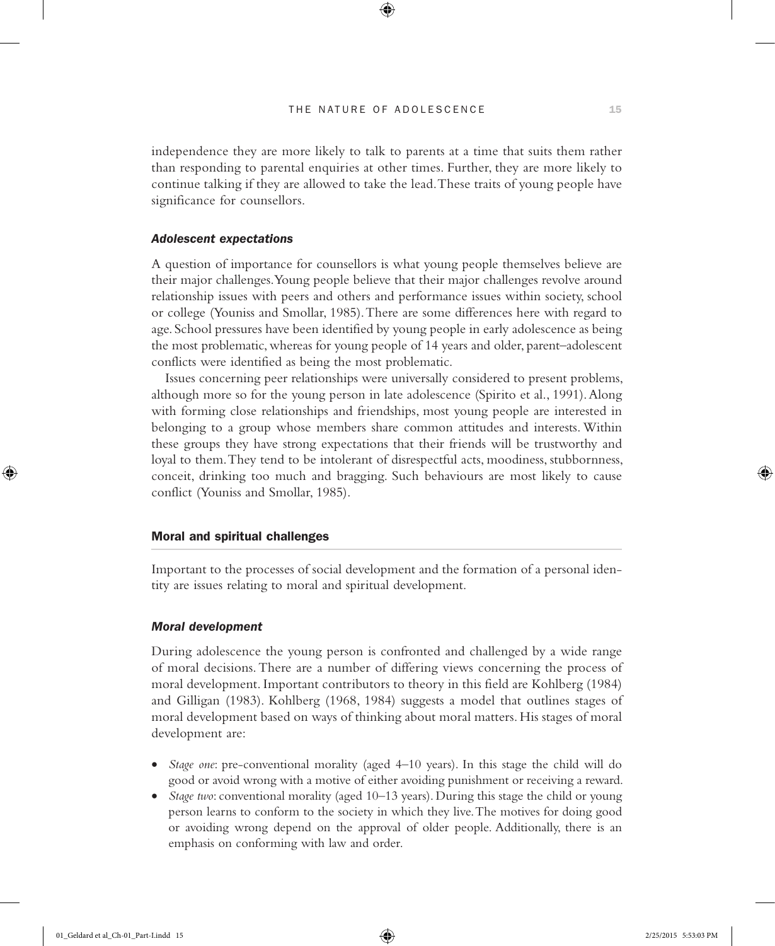independence they are more likely to talk to parents at a time that suits them rather than responding to parental enquiries at other times. Further, they are more likely to continue talking if they are allowed to take the lead. These traits of young people have significance for counsellors.

#### *Adolescent expectations*

A question of importance for counsellors is what young people themselves believe are their major challenges. Young people believe that their major challenges revolve around relationship issues with peers and others and performance issues within society, school or college (Youniss and Smollar, 1985). There are some differences here with regard to age. School pressures have been identified by young people in early adolescence as being the most problematic, whereas for young people of 14 years and older, parent–adolescent conflicts were identified as being the most problematic.

Issues concerning peer relationships were universally considered to present problems, although more so for the young person in late adolescence (Spirito et al., 1991). Along with forming close relationships and friendships, most young people are interested in belonging to a group whose members share common attitudes and interests. Within these groups they have strong expectations that their friends will be trustworthy and loyal to them. They tend to be intolerant of disrespectful acts, moodiness, stubbornness, conceit, drinking too much and bragging. Such behaviours are most likely to cause conflict (Youniss and Smollar, 1985).

#### Moral and spiritual challenges

Important to the processes of social development and the formation of a personal identity are issues relating to moral and spiritual development.

#### *Moral development*

During adolescence the young person is confronted and challenged by a wide range of moral decisions. There are a number of differing views concerning the process of moral development. Important contributors to theory in this field are Kohlberg (1984) and Gilligan (1983). Kohlberg (1968, 1984) suggests a model that outlines stages of moral development based on ways of thinking about moral matters. His stages of moral development are:

- *Stage one*: pre-conventional morality (aged 4–10 years). In this stage the child will do good or avoid wrong with a motive of either avoiding punishment or receiving a reward.
- *Stage two*: conventional morality (aged 10–13 years). During this stage the child or young person learns to conform to the society in which they live. The motives for doing good or avoiding wrong depend on the approval of older people. Additionally, there is an emphasis on conforming with law and order.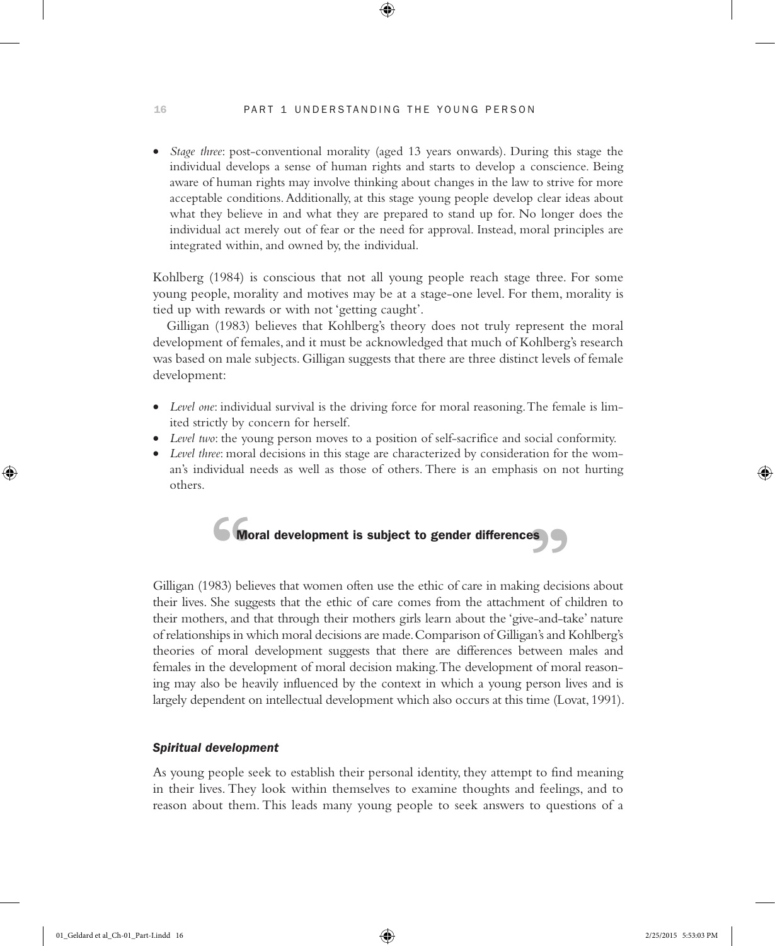• *Stage three*: post-conventional morality (aged 13 years onwards). During this stage the individual develops a sense of human rights and starts to develop a conscience. Being aware of human rights may involve thinking about changes in the law to strive for more acceptable conditions. Additionally, at this stage young people develop clear ideas about what they believe in and what they are prepared to stand up for. No longer does the individual act merely out of fear or the need for approval. Instead, moral principles are integrated within, and owned by, the individual.

⊕

Kohlberg (1984) is conscious that not all young people reach stage three. For some young people, morality and motives may be at a stage-one level. For them, morality is tied up with rewards or with not 'getting caught'.

Gilligan (1983) believes that Kohlberg's theory does not truly represent the moral development of females, and it must be acknowledged that much of Kohlberg's research was based on male subjects. Gilligan suggests that there are three distinct levels of female development:

- *Level one*: individual survival is the driving force for moral reasoning. The female is limited strictly by concern for herself.
- *Level two*: the young person moves to a position of self-sacrifice and social conformity.
- *Level three*: moral decisions in this stage are characterized by consideration for the woman's individual needs as well as those of others. There is an emphasis on not hurting others.



Gilligan (1983) believes that women often use the ethic of care in making decisions about their lives. She suggests that the ethic of care comes from the attachment of children to their mothers, and that through their mothers girls learn about the 'give-and-take' nature of relationships in which moral decisions are made. Comparison of Gilligan's and Kohlberg's theories of moral development suggests that there are differences between males and females in the development of moral decision making. The development of moral reasoning may also be heavily influenced by the context in which a young person lives and is largely dependent on intellectual development which also occurs at this time (Lovat, 1991).

#### *Spiritual development*

As young people seek to establish their personal identity, they attempt to find meaning in their lives. They look within themselves to examine thoughts and feelings, and to reason about them. This leads many young people to seek answers to questions of a

01\_Geldard et al\_Ch-01\_Part-I.indd 16 2/25/2015 5:53:03 PM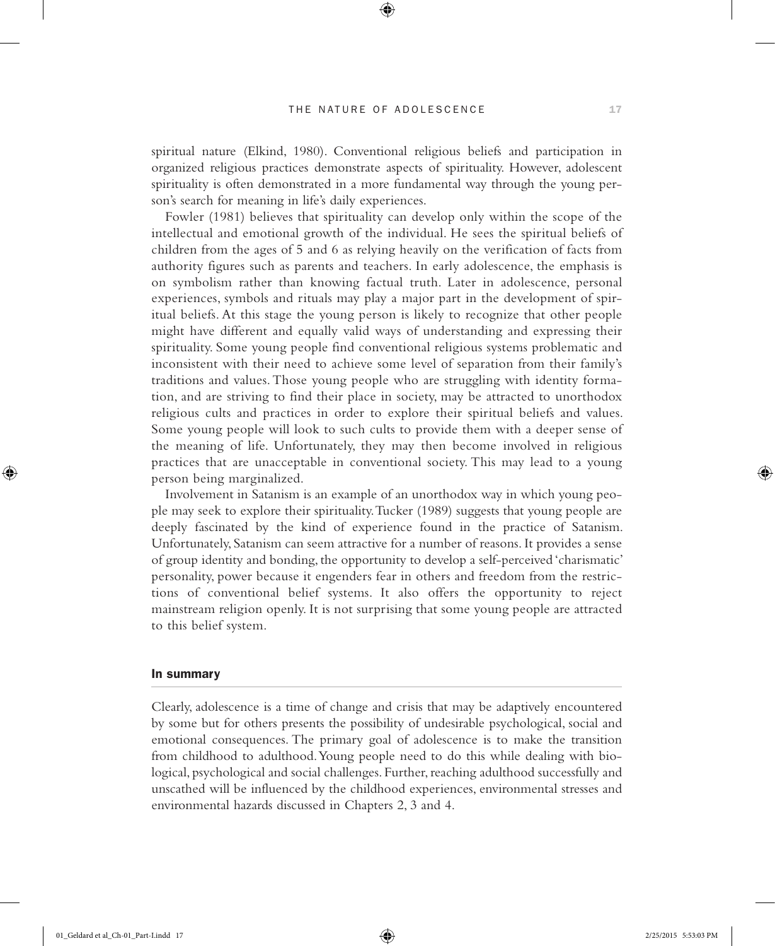⊕

spiritual nature (Elkind, 1980). Conventional religious beliefs and participation in organized religious practices demonstrate aspects of spirituality. However, adolescent spirituality is often demonstrated in a more fundamental way through the young person's search for meaning in life's daily experiences.

Fowler (1981) believes that spirituality can develop only within the scope of the intellectual and emotional growth of the individual. He sees the spiritual beliefs of children from the ages of 5 and 6 as relying heavily on the verification of facts from authority figures such as parents and teachers. In early adolescence, the emphasis is on symbolism rather than knowing factual truth. Later in adolescence, personal experiences, symbols and rituals may play a major part in the development of spiritual beliefs. At this stage the young person is likely to recognize that other people might have different and equally valid ways of understanding and expressing their spirituality. Some young people find conventional religious systems problematic and inconsistent with their need to achieve some level of separation from their family's traditions and values. Those young people who are struggling with identity formation, and are striving to find their place in society, may be attracted to unorthodox religious cults and practices in order to explore their spiritual beliefs and values. Some young people will look to such cults to provide them with a deeper sense of the meaning of life. Unfortunately, they may then become involved in religious practices that are unacceptable in conventional society. This may lead to a young person being marginalized.

Involvement in Satanism is an example of an unorthodox way in which young people may seek to explore their spirituality. Tucker (1989) suggests that young people are deeply fascinated by the kind of experience found in the practice of Satanism. Unfortunately, Satanism can seem attractive for a number of reasons. It provides a sense of group identity and bonding, the opportunity to develop a self-perceived 'charismatic' personality, power because it engenders fear in others and freedom from the restrictions of conventional belief systems. It also offers the opportunity to reject mainstream religion openly. It is not surprising that some young people are attracted to this belief system.

#### In summary

Clearly, adolescence is a time of change and crisis that may be adaptively encountered by some but for others presents the possibility of undesirable psychological, social and emotional consequences. The primary goal of adolescence is to make the transition from childhood to adulthood. Young people need to do this while dealing with biological, psychological and social challenges. Further, reaching adulthood successfully and unscathed will be influenced by the childhood experiences, environmental stresses and environmental hazards discussed in Chapters 2, 3 and 4.